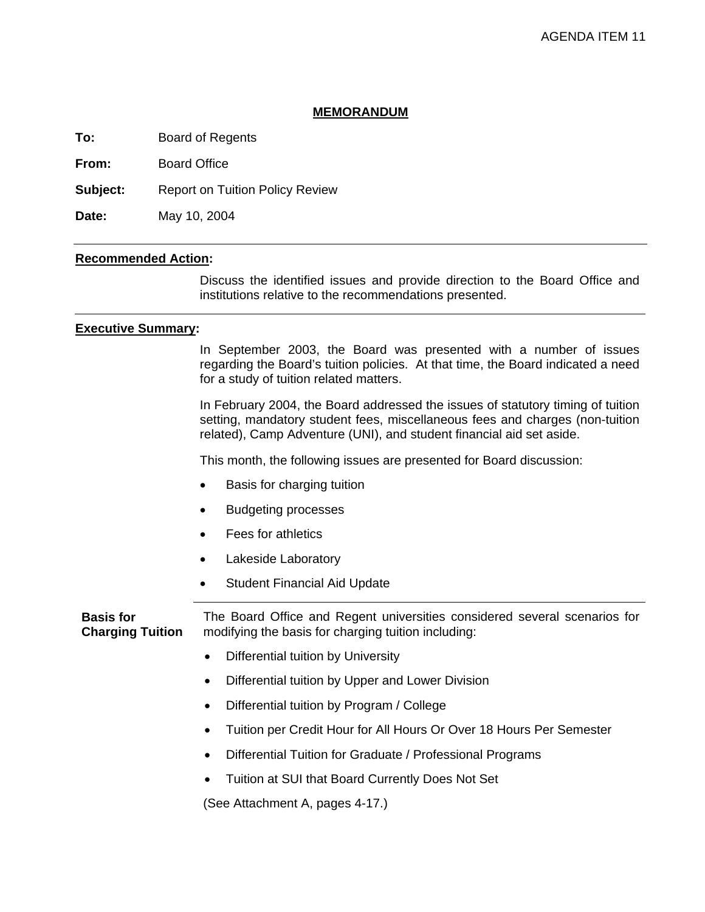### **MEMORANDUM**

**To:** Board of Regents

**From:** Board Office

**Subject:** Report on Tuition Policy Review

**Date:** May 10, 2004

# **Recommended Action:**

 Discuss the identified issues and provide direction to the Board Office and institutions relative to the recommendations presented.

### **Executive Summary:**

 In September 2003, the Board was presented with a number of issues regarding the Board's tuition policies. At that time, the Board indicated a need for a study of tuition related matters.

In February 2004, the Board addressed the issues of statutory timing of tuition setting, mandatory student fees, miscellaneous fees and charges (non-tuition related), Camp Adventure (UNI), and student financial aid set aside.

This month, the following issues are presented for Board discussion:

- Basis for charging tuition
- Budgeting processes
- Fees for athletics
- Lakeside Laboratory
- Student Financial Aid Update

**Basis for Charging Tuition**  The Board Office and Regent universities considered several scenarios for modifying the basis for charging tuition including:

- Differential tuition by University
- Differential tuition by Upper and Lower Division
- Differential tuition by Program / College
- Tuition per Credit Hour for All Hours Or Over 18 Hours Per Semester
- Differential Tuition for Graduate / Professional Programs
- Tuition at SUI that Board Currently Does Not Set

(See Attachment A, pages 4-17.)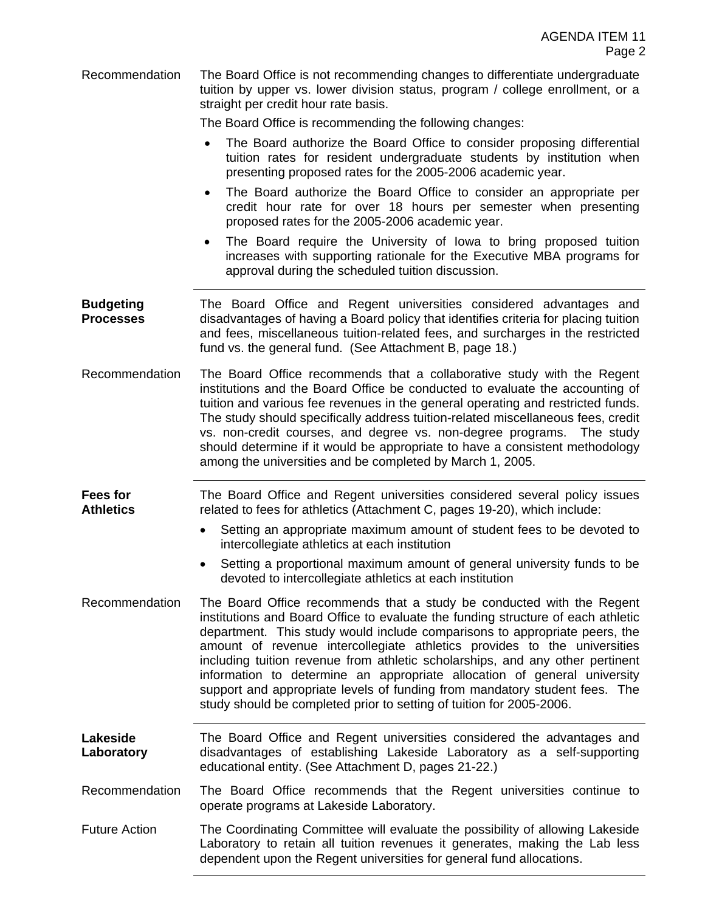Recommendation The Board Office is not recommending changes to differentiate undergraduate tuition by upper vs. lower division status, program / college enrollment, or a straight per credit hour rate basis.

The Board Office is recommending the following changes:

- The Board authorize the Board Office to consider proposing differential tuition rates for resident undergraduate students by institution when presenting proposed rates for the 2005-2006 academic year.
- The Board authorize the Board Office to consider an appropriate per credit hour rate for over 18 hours per semester when presenting proposed rates for the 2005-2006 academic year.
- The Board require the University of Iowa to bring proposed tuition increases with supporting rationale for the Executive MBA programs for approval during the scheduled tuition discussion.
- **Budgeting Processes**  The Board Office and Regent universities considered advantages and disadvantages of having a Board policy that identifies criteria for placing tuition and fees, miscellaneous tuition-related fees, and surcharges in the restricted fund vs. the general fund. (See Attachment B, page 18.)
- Recommendation The Board Office recommends that a collaborative study with the Regent institutions and the Board Office be conducted to evaluate the accounting of tuition and various fee revenues in the general operating and restricted funds. The study should specifically address tuition-related miscellaneous fees, credit vs. non-credit courses, and degree vs. non-degree programs. The study should determine if it would be appropriate to have a consistent methodology among the universities and be completed by March 1, 2005.

**Fees for Athletics**  The Board Office and Regent universities considered several policy issues related to fees for athletics (Attachment C, pages 19-20), which include:

- Setting an appropriate maximum amount of student fees to be devoted to intercollegiate athletics at each institution
- Setting a proportional maximum amount of general university funds to be devoted to intercollegiate athletics at each institution
- Recommendation The Board Office recommends that a study be conducted with the Regent institutions and Board Office to evaluate the funding structure of each athletic department. This study would include comparisons to appropriate peers, the amount of revenue intercollegiate athletics provides to the universities including tuition revenue from athletic scholarships, and any other pertinent information to determine an appropriate allocation of general university support and appropriate levels of funding from mandatory student fees. The study should be completed prior to setting of tuition for 2005-2006.
- **Lakeside Laboratory**  The Board Office and Regent universities considered the advantages and disadvantages of establishing Lakeside Laboratory as a self-supporting educational entity. (See Attachment D, pages 21-22.)

Recommendation The Board Office recommends that the Regent universities continue to operate programs at Lakeside Laboratory.

Future Action The Coordinating Committee will evaluate the possibility of allowing Lakeside Laboratory to retain all tuition revenues it generates, making the Lab less dependent upon the Regent universities for general fund allocations.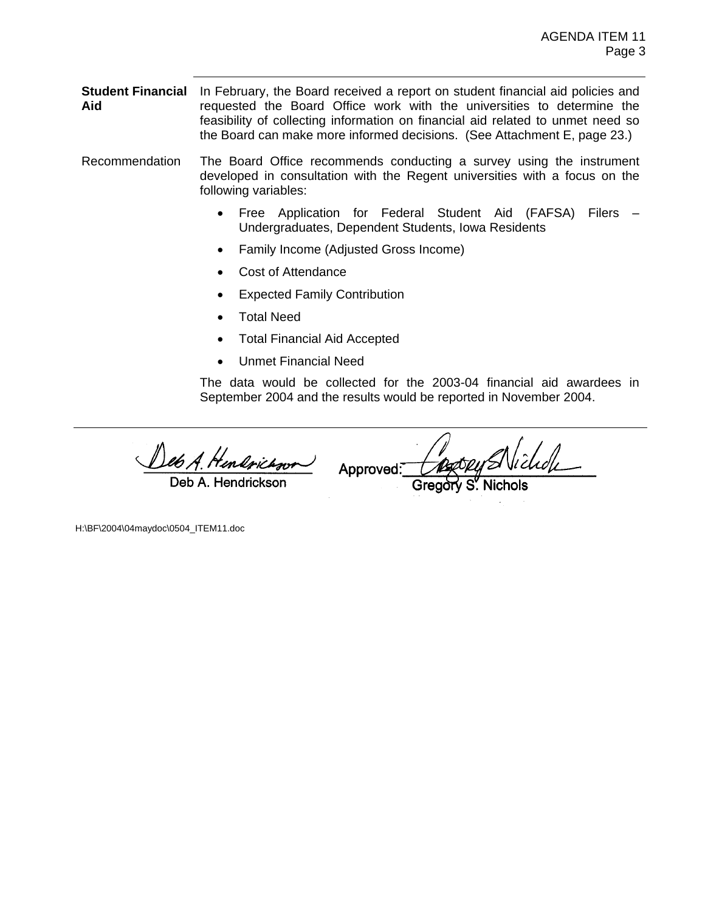**Student Financial** In February, the Board received a report on student financial aid policies and **Aid**  requested the Board Office work with the universities to determine the feasibility of collecting information on financial aid related to unmet need so the Board can make more informed decisions. (See Attachment E, page 23.)

Recommendation The Board Office recommends conducting a survey using the instrument developed in consultation with the Regent universities with a focus on the following variables:

- Free Application for Federal Student Aid (FAFSA) Filers Undergraduates, Dependent Students, Iowa Residents
- Family Income (Adjusted Gross Income)
- Cost of Attendance
- Expected Family Contribution
- Total Need
- Total Financial Aid Accepted
- Unmet Financial Need

The data would be collected for the 2003-04 financial aid awardees in September 2004 and the results would be reported in November 2004.

Deb A. Hendrickson

Approved:

H:\BF\2004\04maydoc\0504\_ITEM11.doc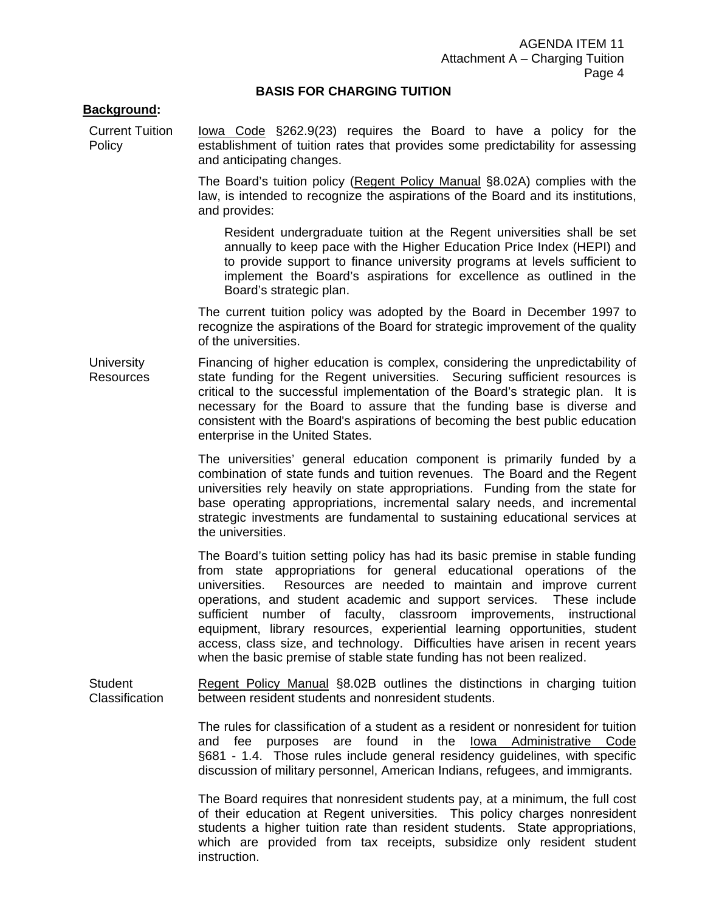### **BASIS FOR CHARGING TUITION**

### **Background:**

Current Tuition Policy Iowa Code §262.9(23) requires the Board to have a policy for the establishment of tuition rates that provides some predictability for assessing and anticipating changes.

> The Board's tuition policy (Regent Policy Manual §8.02A) complies with the law, is intended to recognize the aspirations of the Board and its institutions, and provides:

Resident undergraduate tuition at the Regent universities shall be set annually to keep pace with the Higher Education Price Index (HEPI) and to provide support to finance university programs at levels sufficient to implement the Board's aspirations for excellence as outlined in the Board's strategic plan.

 The current tuition policy was adopted by the Board in December 1997 to recognize the aspirations of the Board for strategic improvement of the quality of the universities.

**University** Resources Financing of higher education is complex, considering the unpredictability of state funding for the Regent universities. Securing sufficient resources is critical to the successful implementation of the Board's strategic plan. It is necessary for the Board to assure that the funding base is diverse and consistent with the Board's aspirations of becoming the best public education enterprise in the United States.

> The universities' general education component is primarily funded by a combination of state funds and tuition revenues. The Board and the Regent universities rely heavily on state appropriations. Funding from the state for base operating appropriations, incremental salary needs, and incremental strategic investments are fundamental to sustaining educational services at the universities.

> The Board's tuition setting policy has had its basic premise in stable funding from state appropriations for general educational operations of the universities. Resources are needed to maintain and improve current operations, and student academic and support services. These include sufficient number of faculty, classroom improvements, instructional equipment, library resources, experiential learning opportunities, student access, class size, and technology. Difficulties have arisen in recent years when the basic premise of stable state funding has not been realized.

**Student Classification** Regent Policy Manual §8.02B outlines the distinctions in charging tuition between resident students and nonresident students.

> The rules for classification of a student as a resident or nonresident for tuition and fee purposes are found in the Iowa Administrative Code §681 - 1.4. Those rules include general residency guidelines, with specific discussion of military personnel, American Indians, refugees, and immigrants.

> The Board requires that nonresident students pay, at a minimum, the full cost of their education at Regent universities. This policy charges nonresident students a higher tuition rate than resident students. State appropriations, which are provided from tax receipts, subsidize only resident student instruction.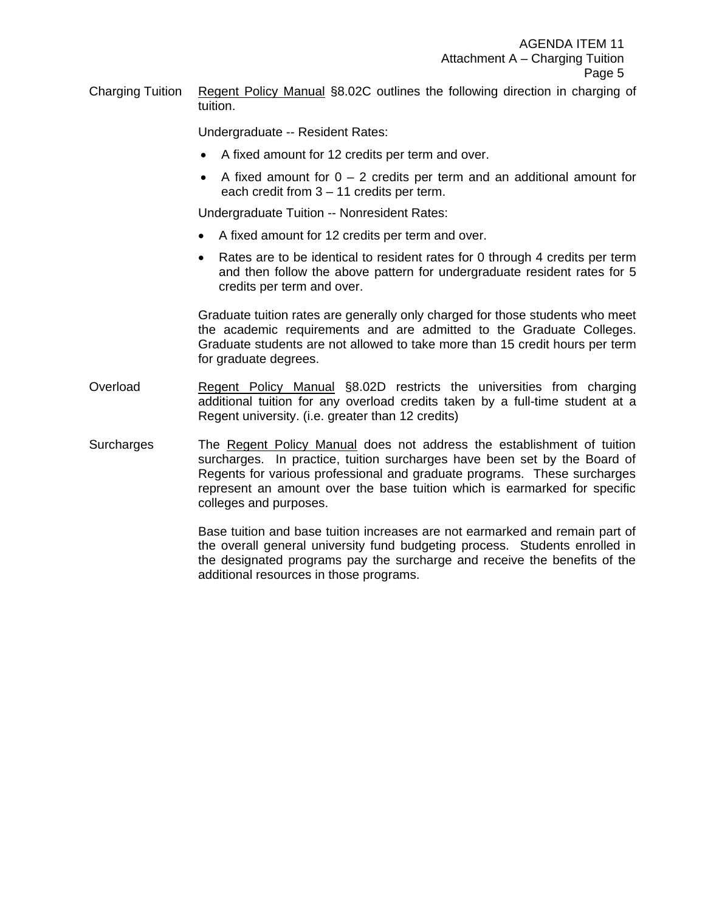Charging Tuition Regent Policy Manual §8.02C outlines the following direction in charging of tuition.

Undergraduate -- Resident Rates:

- A fixed amount for 12 credits per term and over.
- A fixed amount for  $0 2$  credits per term and an additional amount for each credit from 3 – 11 credits per term.

Undergraduate Tuition -- Nonresident Rates:

- A fixed amount for 12 credits per term and over.
- Rates are to be identical to resident rates for 0 through 4 credits per term and then follow the above pattern for undergraduate resident rates for 5 credits per term and over.

 Graduate tuition rates are generally only charged for those students who meet the academic requirements and are admitted to the Graduate Colleges. Graduate students are not allowed to take more than 15 credit hours per term for graduate degrees.

- Overload Regent Policy Manual §8.02D restricts the universities from charging additional tuition for any overload credits taken by a full-time student at a Regent university. (i.e. greater than 12 credits)
- Surcharges The Regent Policy Manual does not address the establishment of tuition surcharges. In practice, tuition surcharges have been set by the Board of Regents for various professional and graduate programs. These surcharges represent an amount over the base tuition which is earmarked for specific colleges and purposes.

Base tuition and base tuition increases are not earmarked and remain part of the overall general university fund budgeting process. Students enrolled in the designated programs pay the surcharge and receive the benefits of the additional resources in those programs.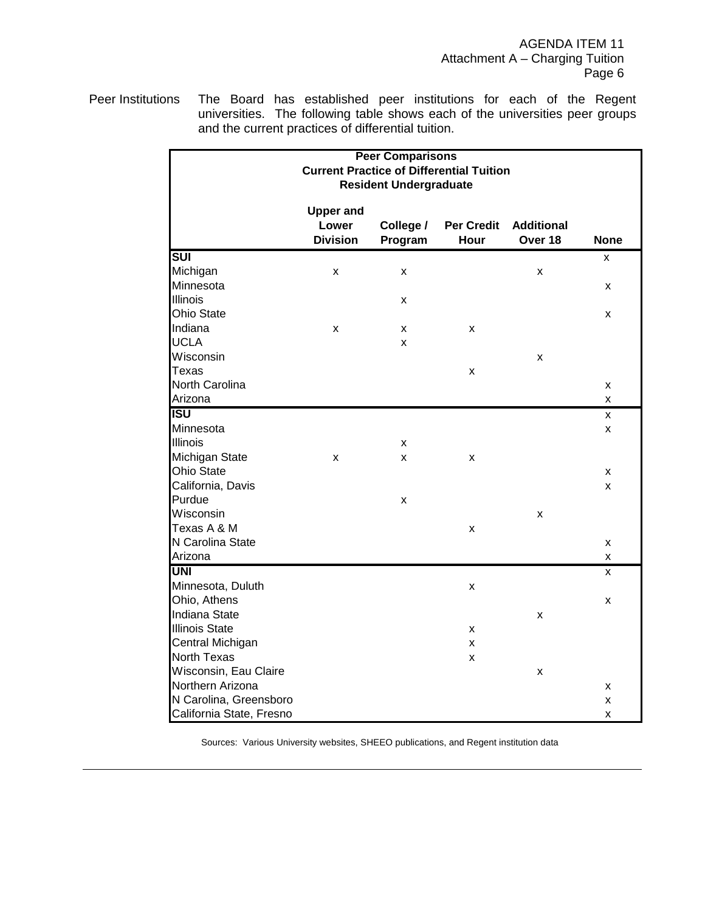AGENDA ITEM 11 Attachment A – Charging Tuition Page 6

Peer Institutions The Board has established peer institutions for each of the Regent universities. The following table shows each of the universities peer groups and the current practices of differential tuition.

|                          |                  | <b>Peer Comparisons</b>       |                                                 |                   |             |
|--------------------------|------------------|-------------------------------|-------------------------------------------------|-------------------|-------------|
|                          |                  |                               | <b>Current Practice of Differential Tuition</b> |                   |             |
|                          |                  | <b>Resident Undergraduate</b> |                                                 |                   |             |
|                          |                  |                               |                                                 |                   |             |
|                          | <b>Upper and</b> |                               |                                                 |                   |             |
|                          | Lower            | College /                     | <b>Per Credit</b>                               | <b>Additional</b> |             |
|                          | <b>Division</b>  | Program                       | Hour                                            | Over 18           | <b>None</b> |
| <b>SUI</b>               |                  |                               |                                                 |                   | x           |
| Michigan                 | X                | x                             |                                                 | x                 |             |
| Minnesota                |                  |                               |                                                 |                   | X           |
| <b>Illinois</b>          |                  | X                             |                                                 |                   |             |
| <b>Ohio State</b>        |                  |                               |                                                 |                   | X           |
| Indiana                  | X                | x                             | x                                               |                   |             |
| <b>UCLA</b>              |                  | x                             |                                                 |                   |             |
| Wisconsin                |                  |                               |                                                 | x                 |             |
| Texas                    |                  |                               | X                                               |                   |             |
| North Carolina           |                  |                               |                                                 |                   | x           |
| Arizona                  |                  |                               |                                                 |                   | X           |
| <b>ISU</b>               |                  |                               |                                                 |                   | X           |
| Minnesota                |                  |                               |                                                 |                   | X           |
| <b>Illinois</b>          |                  | X                             |                                                 |                   |             |
| Michigan State           | X                | x                             | x                                               |                   |             |
| Ohio State               |                  |                               |                                                 |                   | X           |
| California, Davis        |                  |                               |                                                 |                   | X           |
| Purdue                   |                  | X                             |                                                 |                   |             |
| Wisconsin                |                  |                               |                                                 | x                 |             |
| Texas A & M              |                  |                               | X                                               |                   |             |
| N Carolina State         |                  |                               |                                                 |                   | X           |
| Arizona                  |                  |                               |                                                 |                   | x           |
| <b>UNI</b>               |                  |                               |                                                 |                   | x           |
| Minnesota, Duluth        |                  |                               | X                                               |                   |             |
| Ohio, Athens             |                  |                               |                                                 |                   | X           |
| Indiana State            |                  |                               |                                                 | x                 |             |
| <b>Illinois State</b>    |                  |                               | x                                               |                   |             |
| Central Michigan         |                  |                               | x                                               |                   |             |
| North Texas              |                  |                               | X                                               |                   |             |
| Wisconsin, Eau Claire    |                  |                               |                                                 | x                 |             |
| Northern Arizona         |                  |                               |                                                 |                   | x           |
| N Carolina, Greensboro   |                  |                               |                                                 |                   | X           |
| California State, Fresno |                  |                               |                                                 |                   | x           |

Sources: Various University websites, SHEEO publications, and Regent institution data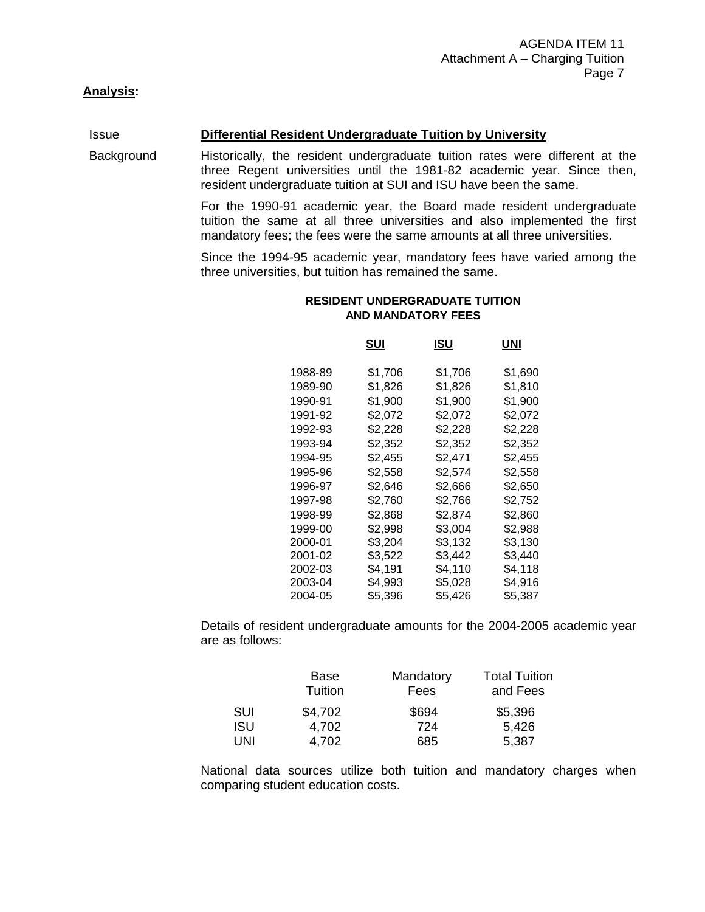# **Analysis:**

#### Issue **Differential Resident Undergraduate Tuition by University**

Background Historically, the resident undergraduate tuition rates were different at the three Regent universities until the 1981-82 academic year. Since then, resident undergraduate tuition at SUI and ISU have been the same.

> For the 1990-91 academic year, the Board made resident undergraduate tuition the same at all three universities and also implemented the first mandatory fees; the fees were the same amounts at all three universities.

> Since the 1994-95 academic year, mandatory fees have varied among the three universities, but tuition has remained the same.

#### **RESIDENT UNDERGRADUATE TUITION AND MANDATORY FEES**

|         | SUI     | ISU     | UNI     |
|---------|---------|---------|---------|
| 1988-89 | \$1,706 | \$1,706 | \$1,690 |
| 1989-90 | \$1.826 | \$1,826 | \$1,810 |
| 1990-91 | \$1.900 | \$1,900 | \$1.900 |
| 1991-92 | \$2,072 | \$2,072 | \$2,072 |
| 1992-93 | \$2,228 | \$2,228 | \$2,228 |
| 1993-94 | \$2,352 | \$2,352 | \$2,352 |
| 1994-95 | \$2,455 | \$2,471 | \$2,455 |
| 1995-96 | \$2.558 | \$2,574 | \$2,558 |
| 1996-97 | \$2.646 | \$2,666 | \$2,650 |
| 1997-98 | \$2,760 | \$2,766 | \$2,752 |
| 1998-99 | \$2.868 | \$2,874 | \$2,860 |
| 1999-00 | \$2,998 | \$3,004 | \$2,988 |
| 2000-01 | \$3,204 | \$3,132 | \$3,130 |
| 2001-02 | \$3.522 | \$3,442 | \$3,440 |
| 2002-03 | \$4.191 | \$4,110 | \$4,118 |
| 2003-04 | \$4,993 | \$5.028 | \$4.916 |
| 2004-05 | \$5.396 | \$5,426 | \$5.387 |

 Details of resident undergraduate amounts for the 2004-2005 academic year are as follows:

|            | Base    | Mandatory | <b>Total Tuition</b> |
|------------|---------|-----------|----------------------|
|            | Tuition | Fees      | and Fees             |
| <b>SUI</b> | \$4,702 | \$694     | \$5,396              |
| <b>ISU</b> | 4,702   | 724       | 5,426                |
| <b>UNI</b> | 4,702   | 685       | 5,387                |

 National data sources utilize both tuition and mandatory charges when comparing student education costs.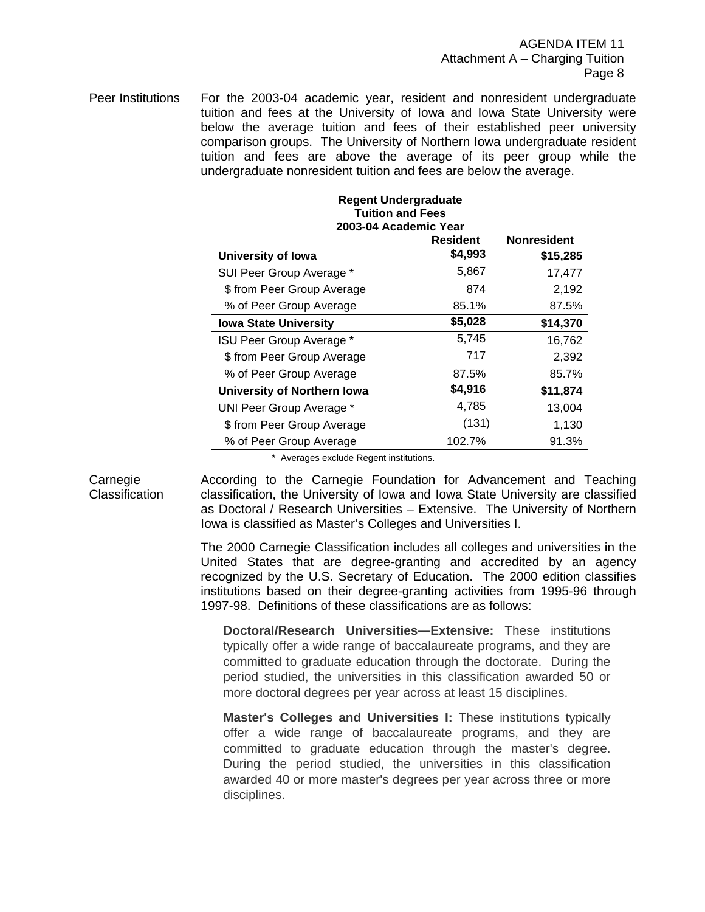Peer Institutions For the 2003-04 academic year, resident and nonresident undergraduate tuition and fees at the University of Iowa and Iowa State University were below the average tuition and fees of their established peer university comparison groups. The University of Northern Iowa undergraduate resident tuition and fees are above the average of its peer group while the undergraduate nonresident tuition and fees are below the average.

| <b>Regent Undergraduate</b><br><b>Tuition and Fees</b>         |         |          |  |  |
|----------------------------------------------------------------|---------|----------|--|--|
| 2003-04 Academic Year<br><b>Nonresident</b><br><b>Resident</b> |         |          |  |  |
| University of Iowa                                             | \$4,993 | \$15,285 |  |  |
| SUI Peer Group Average *                                       | 5,867   | 17,477   |  |  |
| \$ from Peer Group Average                                     | 874     | 2,192    |  |  |
| % of Peer Group Average                                        | 85.1%   | 87.5%    |  |  |
| <b>Iowa State University</b>                                   | \$5,028 | \$14,370 |  |  |
| ISU Peer Group Average *                                       | 5,745   | 16,762   |  |  |
| \$ from Peer Group Average                                     | 717     | 2,392    |  |  |
| % of Peer Group Average                                        | 87.5%   | 85.7%    |  |  |
| University of Northern Iowa                                    | \$4,916 | \$11,874 |  |  |
| UNI Peer Group Average *                                       | 4,785   | 13,004   |  |  |
| \$ from Peer Group Average                                     | (131)   | 1,130    |  |  |
| % of Peer Group Average                                        | 102.7%  | 91.3%    |  |  |

\* Averages exclude Regent institutions.

Carnegie **Classification** 

According to the Carnegie Foundation for Advancement and Teaching classification, the University of Iowa and Iowa State University are classified as Doctoral / Research Universities – Extensive. The University of Northern Iowa is classified as Master's Colleges and Universities I.

The 2000 Carnegie Classification includes all colleges and universities in the United States that are degree-granting and accredited by an agency recognized by the U.S. Secretary of Education. The 2000 edition classifies institutions based on their degree-granting activities from 1995-96 through 1997-98. Definitions of these classifications are as follows:

**Doctoral/Research Universities—Extensive:** These institutions typically offer a wide range of baccalaureate programs, and they are committed to graduate education through the doctorate. During the period studied, the universities in this classification awarded 50 or more doctoral degrees per year across at least 15 disciplines.

**Master's Colleges and Universities I:** These institutions typically offer a wide range of baccalaureate programs, and they are committed to graduate education through the master's degree. During the period studied, the universities in this classification awarded 40 or more master's degrees per year across three or more disciplines.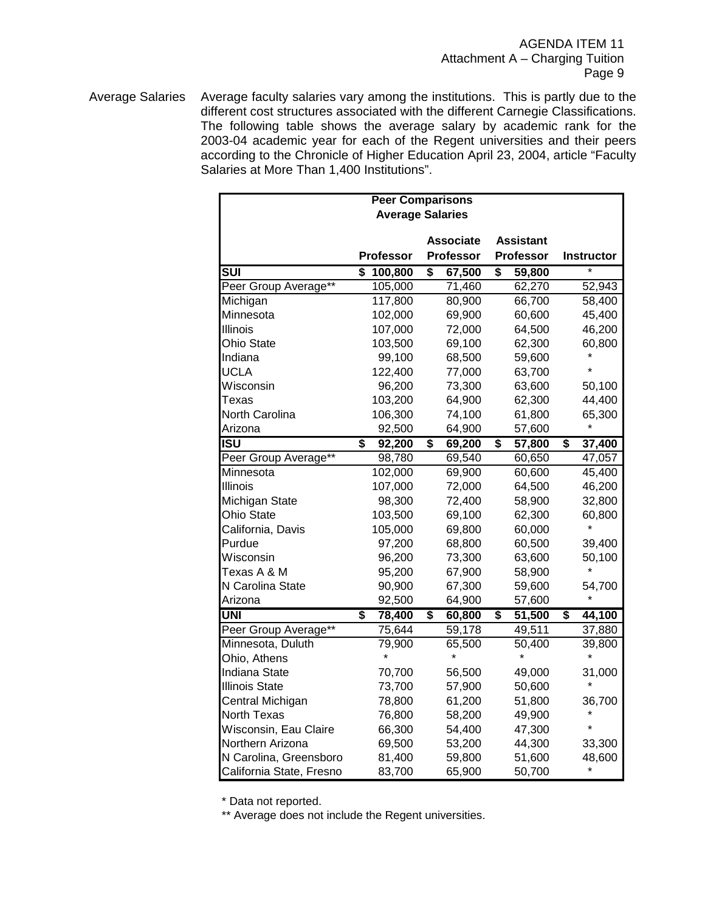Average Salaries Average faculty salaries vary among the institutions. This is partly due to the different cost structures associated with the different Carnegie Classifications. The following table shows the average salary by academic rank for the 2003-04 academic year for each of the Regent universities and their peers according to the Chronicle of Higher Education April 23, 2004, article "Faculty Salaries at More Than 1,400 Institutions".

| <b>Peer Comparisons</b>  |                  |                         |                  |                   |  |
|--------------------------|------------------|-------------------------|------------------|-------------------|--|
|                          |                  | <b>Average Salaries</b> |                  |                   |  |
|                          |                  |                         |                  |                   |  |
|                          |                  | <b>Associate</b>        | <b>Assistant</b> |                   |  |
|                          | <b>Professor</b> | <b>Professor</b>        | <b>Professor</b> | <b>Instructor</b> |  |
| $\overline{\text{SUI}}$  | \$<br>100,800    | \$<br>67,500            | \$<br>59,800     | $\star$           |  |
| Peer Group Average**     | 105,000          | 71,460                  | 62,270           | 52,943            |  |
| Michigan                 | 117,800          | 80,900                  | 66,700           | 58,400            |  |
| Minnesota                | 102,000          | 69,900                  | 60,600           | 45,400            |  |
| Illinois                 | 107,000          | 72,000                  | 64,500           | 46,200            |  |
| <b>Ohio State</b>        | 103,500          | 69,100                  | 62,300           | 60,800            |  |
| Indiana                  | 99,100           | 68,500                  | 59,600           |                   |  |
| <b>UCLA</b>              | 122,400          | 77,000                  | 63,700           |                   |  |
| Wisconsin                | 96,200           | 73,300                  | 63,600           | 50,100            |  |
| Texas                    | 103,200          | 64,900                  | 62,300           | 44,400            |  |
| North Carolina           | 106,300          | 74,100                  | 61,800           | 65,300            |  |
| Arizona                  | 92,500           | 64,900                  | 57,600           |                   |  |
| <b>ISU</b>               | \$<br>92,200     | \$<br>69,200            | \$<br>57,800     | \$<br>37,400      |  |
| Peer Group Average**     | 98,780           | 69,540                  | 60,650           | 47,057            |  |
| Minnesota                | 102,000          | 69,900                  | 60,600           | 45,400            |  |
| <b>Illinois</b>          | 107,000          | 72,000                  | 64,500           | 46,200            |  |
| Michigan State           | 98,300           | 72,400                  | 58,900           | 32,800            |  |
| Ohio State               | 103,500          | 69,100                  | 62,300           | 60,800            |  |
| California, Davis        | 105,000          | 69,800                  | 60,000           |                   |  |
| Purdue                   | 97,200           | 68,800                  | 60,500           | 39,400            |  |
| Wisconsin                | 96,200           | 73,300                  | 63,600           | 50,100            |  |
| Texas A & M              | 95,200           | 67,900                  | 58,900           |                   |  |
| N Carolina State         | 90,900           | 67,300                  | 59,600           | 54,700            |  |
| Arizona                  | 92,500           | 64,900                  | 57,600           |                   |  |
| <b>UNI</b>               | \$<br>78,400     | \$<br>60,800            | \$<br>51,500     | \$<br>44,100      |  |
| Peer Group Average**     | 75,644           | 59,178                  | 49,511           | 37,880            |  |
| Minnesota, Duluth        | 79,900           | 65,500                  | 50,400           | 39,800            |  |
| Ohio, Athens             |                  |                         |                  |                   |  |
| Indiana State            | 70,700           | 56,500                  | 49,000           | 31,000            |  |
| <b>Illinois State</b>    | 73,700           | 57,900                  | 50,600           |                   |  |
| Central Michigan         | 78,800           | 61,200                  | 51,800           | 36,700            |  |
| North Texas              | 76,800           | 58,200                  | 49,900           |                   |  |
| Wisconsin, Eau Claire    | 66,300           | 54,400                  | 47,300           |                   |  |
| Northern Arizona         | 69,500           | 53,200                  | 44,300           | 33,300            |  |
| N Carolina, Greensboro   | 81,400           | 59,800                  | 51,600           | 48,600            |  |
| California State, Fresno | 83,700           | 65,900                  | 50,700           |                   |  |

\* Data not reported.

\*\* Average does not include the Regent universities.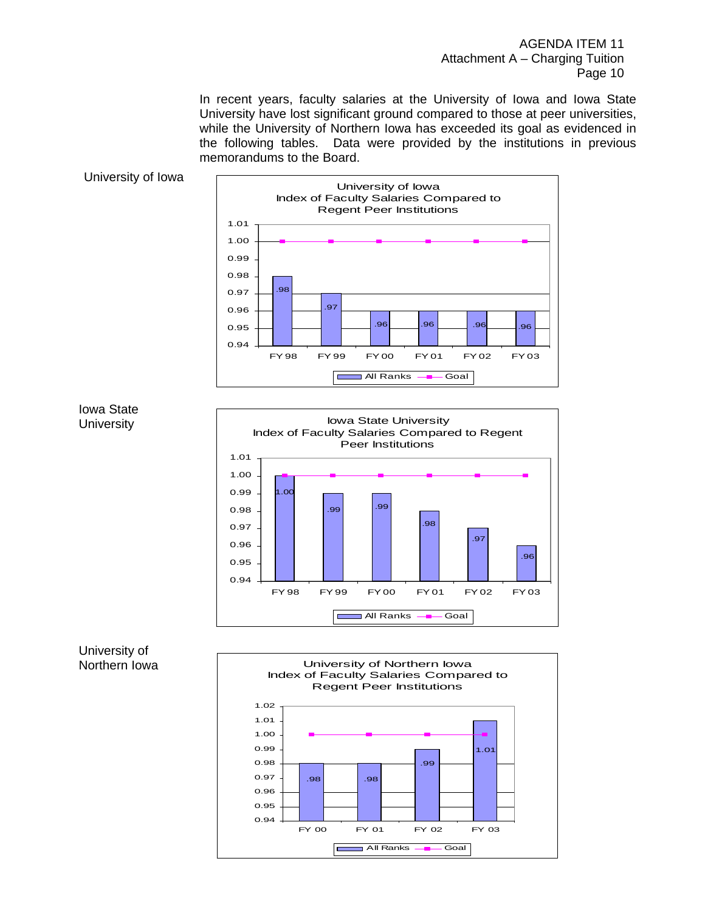AGENDA ITEM 11 Attachment A – Charging Tuition Page 10

 In recent years, faculty salaries at the University of Iowa and Iowa State University have lost significant ground compared to those at peer universities, while the University of Northern Iowa has exceeded its goal as evidenced in the following tables. Data were provided by the institutions in previous memorandums to the Board.









### University of Northern Iowa

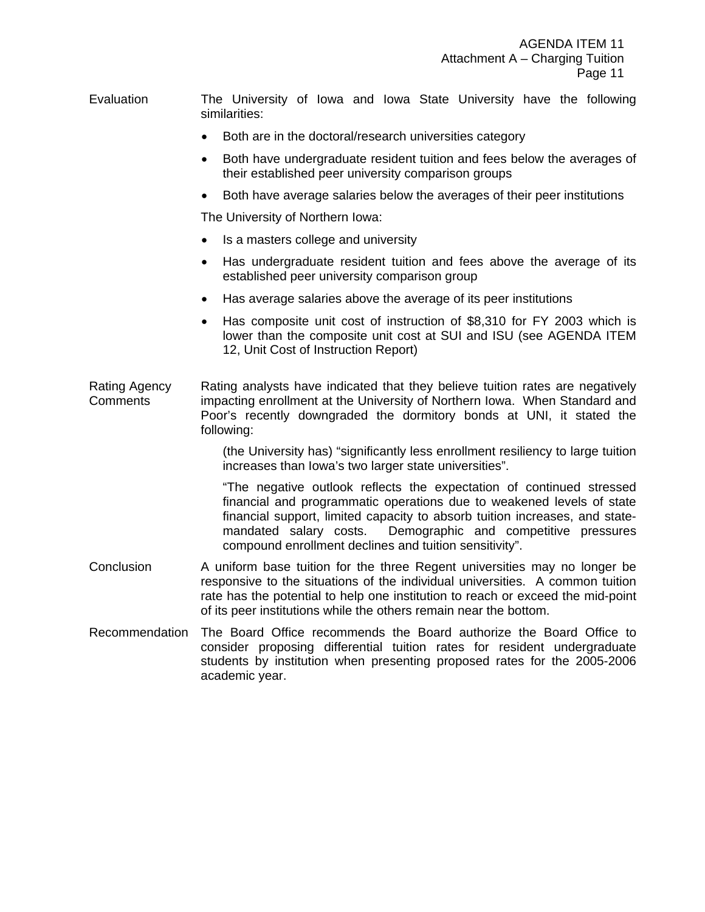Evaluation The University of Iowa and Iowa State University have the following similarities:

- Both are in the doctoral/research universities category
- Both have undergraduate resident tuition and fees below the averages of their established peer university comparison groups
- Both have average salaries below the averages of their peer institutions

The University of Northern Iowa:

- Is a masters college and university
- Has undergraduate resident tuition and fees above the average of its established peer university comparison group
- Has average salaries above the average of its peer institutions
- Has composite unit cost of instruction of \$8,310 for FY 2003 which is lower than the composite unit cost at SUI and ISU (see AGENDA ITEM 12, Unit Cost of Instruction Report)
- Rating Agency **Comments** Rating analysts have indicated that they believe tuition rates are negatively impacting enrollment at the University of Northern Iowa. When Standard and Poor's recently downgraded the dormitory bonds at UNI, it stated the following:

(the University has) "significantly less enrollment resiliency to large tuition increases than Iowa's two larger state universities".

"The negative outlook reflects the expectation of continued stressed financial and programmatic operations due to weakened levels of state financial support, limited capacity to absorb tuition increases, and statemandated salary costs. Demographic and competitive pressures compound enrollment declines and tuition sensitivity".

- Conclusion A uniform base tuition for the three Regent universities may no longer be responsive to the situations of the individual universities. A common tuition rate has the potential to help one institution to reach or exceed the mid-point of its peer institutions while the others remain near the bottom.
- Recommendation The Board Office recommends the Board authorize the Board Office to consider proposing differential tuition rates for resident undergraduate students by institution when presenting proposed rates for the 2005-2006 academic year.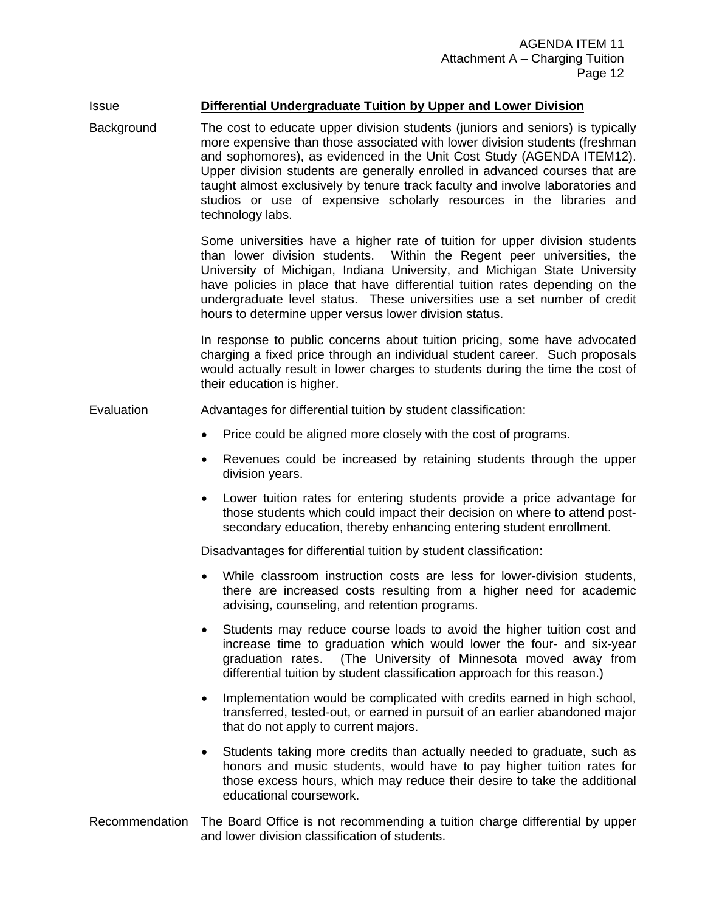# Issue **Differential Undergraduate Tuition by Upper and Lower Division**

Background The cost to educate upper division students (juniors and seniors) is typically more expensive than those associated with lower division students (freshman and sophomores), as evidenced in the Unit Cost Study (AGENDA ITEM12). Upper division students are generally enrolled in advanced courses that are taught almost exclusively by tenure track faculty and involve laboratories and studios or use of expensive scholarly resources in the libraries and technology labs.

> Some universities have a higher rate of tuition for upper division students than lower division students. Within the Regent peer universities, the University of Michigan, Indiana University, and Michigan State University have policies in place that have differential tuition rates depending on the undergraduate level status. These universities use a set number of credit hours to determine upper versus lower division status.

> In response to public concerns about tuition pricing, some have advocated charging a fixed price through an individual student career. Such proposals would actually result in lower charges to students during the time the cost of their education is higher.

Evaluation Advantages for differential tuition by student classification:

- Price could be aligned more closely with the cost of programs.
- Revenues could be increased by retaining students through the upper division years.
- Lower tuition rates for entering students provide a price advantage for those students which could impact their decision on where to attend postsecondary education, thereby enhancing entering student enrollment.

Disadvantages for differential tuition by student classification:

- While classroom instruction costs are less for lower-division students, there are increased costs resulting from a higher need for academic advising, counseling, and retention programs.
- Students may reduce course loads to avoid the higher tuition cost and increase time to graduation which would lower the four- and six-year graduation rates. (The University of Minnesota moved away from differential tuition by student classification approach for this reason.)
- Implementation would be complicated with credits earned in high school, transferred, tested-out, or earned in pursuit of an earlier abandoned major that do not apply to current majors.
- Students taking more credits than actually needed to graduate, such as honors and music students, would have to pay higher tuition rates for those excess hours, which may reduce their desire to take the additional educational coursework.

### Recommendation The Board Office is not recommending a tuition charge differential by upper and lower division classification of students.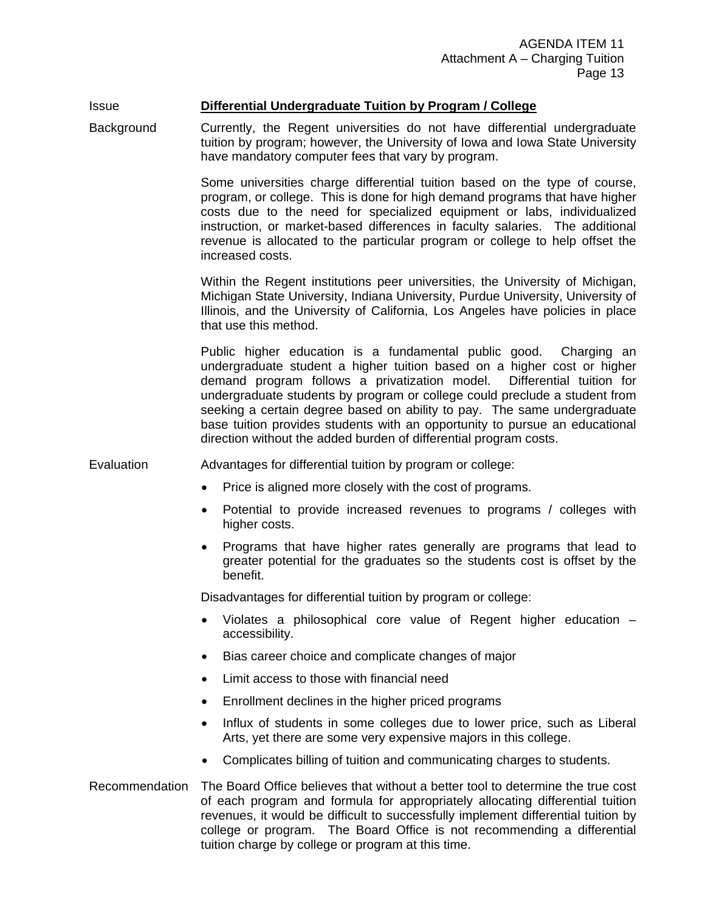# Issue **Differential Undergraduate Tuition by Program / College**

Background Currently, the Regent universities do not have differential undergraduate tuition by program; however, the University of Iowa and Iowa State University have mandatory computer fees that vary by program.

> Some universities charge differential tuition based on the type of course, program, or college. This is done for high demand programs that have higher costs due to the need for specialized equipment or labs, individualized instruction, or market-based differences in faculty salaries. The additional revenue is allocated to the particular program or college to help offset the increased costs.

> Within the Regent institutions peer universities, the University of Michigan, Michigan State University, Indiana University, Purdue University, University of Illinois, and the University of California, Los Angeles have policies in place that use this method.

> Public higher education is a fundamental public good. Charging an undergraduate student a higher tuition based on a higher cost or higher demand program follows a privatization model. Differential tuition for undergraduate students by program or college could preclude a student from seeking a certain degree based on ability to pay. The same undergraduate base tuition provides students with an opportunity to pursue an educational direction without the added burden of differential program costs.

Evaluation Advantages for differential tuition by program or college:

- Price is aligned more closely with the cost of programs.
- Potential to provide increased revenues to programs / colleges with higher costs.
- Programs that have higher rates generally are programs that lead to greater potential for the graduates so the students cost is offset by the benefit.

Disadvantages for differential tuition by program or college:

- Violates a philosophical core value of Regent higher education accessibility.
- Bias career choice and complicate changes of major
- Limit access to those with financial need
- Enrollment declines in the higher priced programs
- Influx of students in some colleges due to lower price, such as Liberal Arts, yet there are some very expensive majors in this college.
- Complicates billing of tuition and communicating charges to students.
- Recommendation The Board Office believes that without a better tool to determine the true cost of each program and formula for appropriately allocating differential tuition revenues, it would be difficult to successfully implement differential tuition by college or program. The Board Office is not recommending a differential tuition charge by college or program at this time.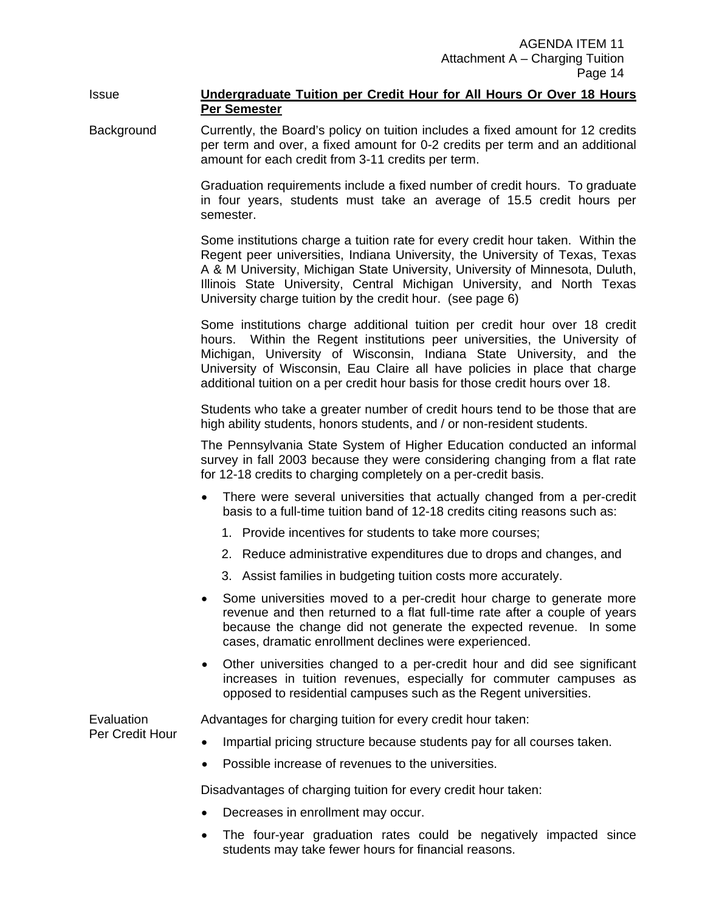### Issue **Undergraduate Tuition per Credit Hour for All Hours Or Over 18 Hours Per Semester**

Background Currently, the Board's policy on tuition includes a fixed amount for 12 credits per term and over, a fixed amount for 0-2 credits per term and an additional amount for each credit from 3-11 credits per term.

> Graduation requirements include a fixed number of credit hours. To graduate in four years, students must take an average of 15.5 credit hours per semester.

> Some institutions charge a tuition rate for every credit hour taken. Within the Regent peer universities, Indiana University, the University of Texas, Texas A & M University, Michigan State University, University of Minnesota, Duluth, Illinois State University, Central Michigan University, and North Texas University charge tuition by the credit hour. (see page 6)

> Some institutions charge additional tuition per credit hour over 18 credit hours. Within the Regent institutions peer universities, the University of Michigan, University of Wisconsin, Indiana State University, and the University of Wisconsin, Eau Claire all have policies in place that charge additional tuition on a per credit hour basis for those credit hours over 18.

> Students who take a greater number of credit hours tend to be those that are high ability students, honors students, and / or non-resident students.

> The Pennsylvania State System of Higher Education conducted an informal survey in fall 2003 because they were considering changing from a flat rate for 12-18 credits to charging completely on a per-credit basis.

- There were several universities that actually changed from a per-credit basis to a full-time tuition band of 12-18 credits citing reasons such as:
	- 1. Provide incentives for students to take more courses;
	- 2. Reduce administrative expenditures due to drops and changes, and
	- 3. Assist families in budgeting tuition costs more accurately.
- Some universities moved to a per-credit hour charge to generate more revenue and then returned to a flat full-time rate after a couple of years because the change did not generate the expected revenue. In some cases, dramatic enrollment declines were experienced.
- Other universities changed to a per-credit hour and did see significant increases in tuition revenues, especially for commuter campuses as opposed to residential campuses such as the Regent universities.

**Evaluation** 

Advantages for charging tuition for every credit hour taken:

Per Credit Hour

- Impartial pricing structure because students pay for all courses taken.
- Possible increase of revenues to the universities.

Disadvantages of charging tuition for every credit hour taken:

- Decreases in enrollment may occur.
- The four-year graduation rates could be negatively impacted since students may take fewer hours for financial reasons.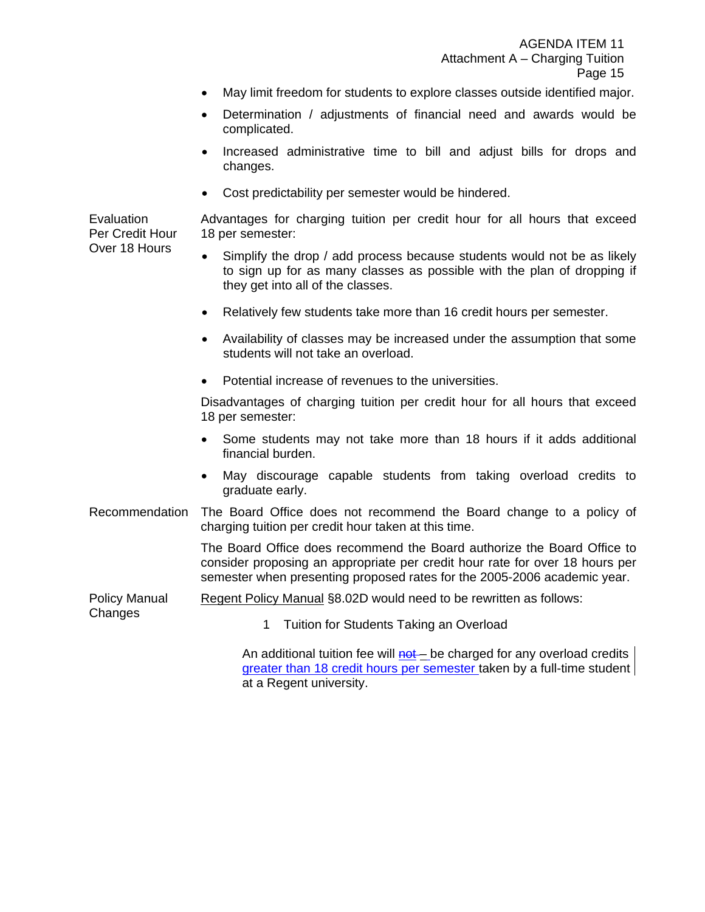- May limit freedom for students to explore classes outside identified major.
- Determination / adjustments of financial need and awards would be complicated.
- Increased administrative time to bill and adjust bills for drops and changes.
- Cost predictability per semester would be hindered.

Advantages for charging tuition per credit hour for all hours that exceed 18 per semester:

- Simplify the drop / add process because students would not be as likely to sign up for as many classes as possible with the plan of dropping if they get into all of the classes.
- Relatively few students take more than 16 credit hours per semester.
- Availability of classes may be increased under the assumption that some students will not take an overload.
- Potential increase of revenues to the universities.

Disadvantages of charging tuition per credit hour for all hours that exceed 18 per semester:

- Some students may not take more than 18 hours if it adds additional financial burden.
- May discourage capable students from taking overload credits to graduate early.
- Recommendation The Board Office does not recommend the Board change to a policy of charging tuition per credit hour taken at this time.

The Board Office does recommend the Board authorize the Board Office to consider proposing an appropriate per credit hour rate for over 18 hours per semester when presenting proposed rates for the 2005-2006 academic year.

Policy Manual Regent Policy Manual §8.02D would need to be rewritten as follows:

Changes

1 Tuition for Students Taking an Overload

An additional tuition fee will not – be charged for any overload credits greater than 18 credit hours per semester taken by a full-time student at a Regent university.

**Evaluation** Per Credit Hour Over 18 Hours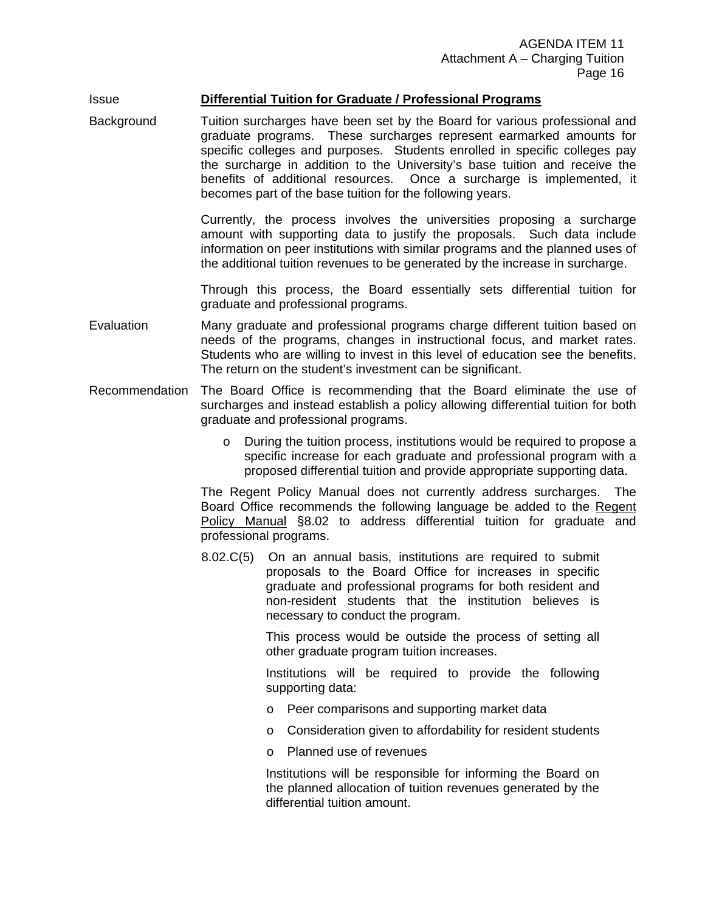# Issue **Differential Tuition for Graduate / Professional Programs**

Background Tuition surcharges have been set by the Board for various professional and graduate programs. These surcharges represent earmarked amounts for specific colleges and purposes. Students enrolled in specific colleges pay the surcharge in addition to the University's base tuition and receive the benefits of additional resources. Once a surcharge is implemented, it becomes part of the base tuition for the following years.

> Currently, the process involves the universities proposing a surcharge amount with supporting data to justify the proposals. Such data include information on peer institutions with similar programs and the planned uses of the additional tuition revenues to be generated by the increase in surcharge.

> Through this process, the Board essentially sets differential tuition for graduate and professional programs.

- Evaluation Many graduate and professional programs charge different tuition based on needs of the programs, changes in instructional focus, and market rates. Students who are willing to invest in this level of education see the benefits. The return on the student's investment can be significant.
- Recommendation The Board Office is recommending that the Board eliminate the use of surcharges and instead establish a policy allowing differential tuition for both graduate and professional programs.
	- o During the tuition process, institutions would be required to propose a specific increase for each graduate and professional program with a proposed differential tuition and provide appropriate supporting data.

The Regent Policy Manual does not currently address surcharges. The Board Office recommends the following language be added to the Regent Policy Manual §8.02 to address differential tuition for graduate and professional programs.

8.02.C(5) On an annual basis, institutions are required to submit proposals to the Board Office for increases in specific graduate and professional programs for both resident and non-resident students that the institution believes is necessary to conduct the program.

> This process would be outside the process of setting all other graduate program tuition increases.

> Institutions will be required to provide the following supporting data:

- o Peer comparisons and supporting market data
- o Consideration given to affordability for resident students
- o Planned use of revenues

Institutions will be responsible for informing the Board on the planned allocation of tuition revenues generated by the differential tuition amount.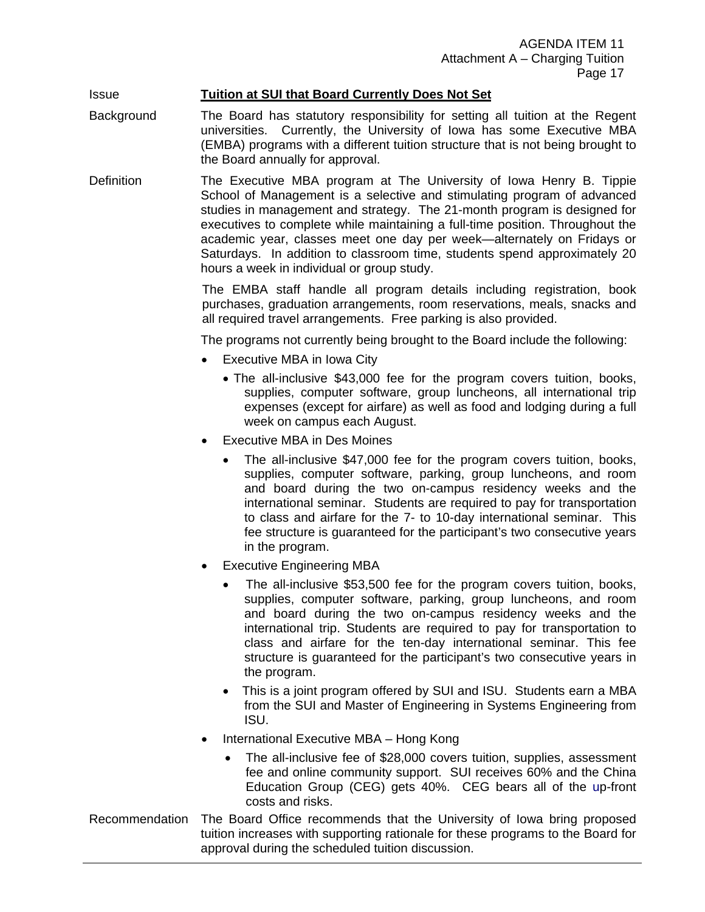# Issue **Tuition at SUI that Board Currently Does Not Set**

- Background The Board has statutory responsibility for setting all tuition at the Regent universities. Currently, the University of Iowa has some Executive MBA (EMBA) programs with a different tuition structure that is not being brought to the Board annually for approval.
- Definition The Executive MBA program at The University of Iowa Henry B. Tippie School of Management is a selective and stimulating program of advanced studies in management and strategy. The 21-month program is designed for executives to complete while maintaining a full-time position. Throughout the academic year, classes meet one day per week—alternately on Fridays or Saturdays. In addition to classroom time, students spend approximately 20 hours a week in individual or group study.

The EMBA staff handle all program details including registration, book purchases, graduation arrangements, room reservations, meals, snacks and all required travel arrangements. Free parking is also provided.

The programs not currently being brought to the Board include the following:

- Executive MBA in Iowa City
	- The all-inclusive \$43,000 fee for the program covers tuition, books, supplies, computer software, group luncheons, all international trip expenses (except for airfare) as well as food and lodging during a full week on campus each August.
- Executive MBA in Des Moines
	- The all-inclusive \$47,000 fee for the program covers tuition, books, supplies, computer software, parking, group luncheons, and room and board during the two on-campus residency weeks and the international seminar. Students are required to pay for transportation to class and airfare for the 7- to 10-day international seminar. This fee structure is guaranteed for the participant's two consecutive years in the program.
- Executive Engineering MBA
	- The all-inclusive \$53,500 fee for the program covers tuition, books, supplies, computer software, parking, group luncheons, and room and board during the two on-campus residency weeks and the international trip. Students are required to pay for transportation to class and airfare for the ten-day international seminar. This fee structure is guaranteed for the participant's two consecutive years in the program.
	- This is a joint program offered by SUI and ISU. Students earn a MBA from the SUI and Master of Engineering in Systems Engineering from ISU.
- International Executive MBA Hong Kong
	- The all-inclusive fee of \$28,000 covers tuition, supplies, assessment fee and online community support. SUI receives 60% and the China Education Group (CEG) gets 40%. CEG bears all of the up-front costs and risks.
- Recommendation The Board Office recommends that the University of Iowa bring proposed tuition increases with supporting rationale for these programs to the Board for approval during the scheduled tuition discussion.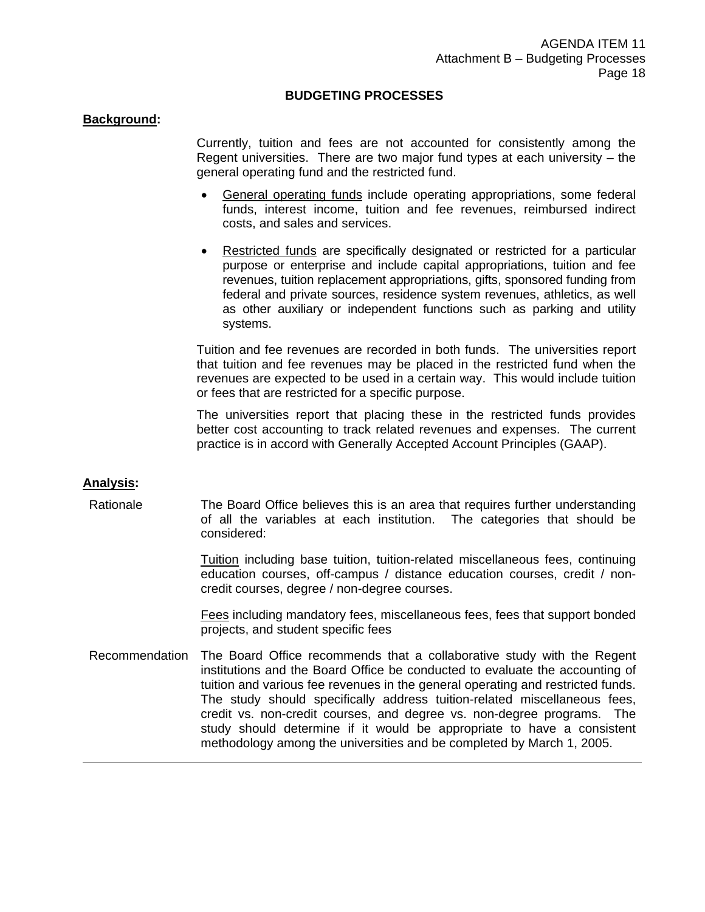### **BUDGETING PROCESSES**

#### **Background:**

 Currently, tuition and fees are not accounted for consistently among the Regent universities. There are two major fund types at each university – the general operating fund and the restricted fund.

- General operating funds include operating appropriations, some federal funds, interest income, tuition and fee revenues, reimbursed indirect costs, and sales and services.
- Restricted funds are specifically designated or restricted for a particular purpose or enterprise and include capital appropriations, tuition and fee revenues, tuition replacement appropriations, gifts, sponsored funding from federal and private sources, residence system revenues, athletics, as well as other auxiliary or independent functions such as parking and utility systems.

Tuition and fee revenues are recorded in both funds. The universities report that tuition and fee revenues may be placed in the restricted fund when the revenues are expected to be used in a certain way. This would include tuition or fees that are restricted for a specific purpose.

The universities report that placing these in the restricted funds provides better cost accounting to track related revenues and expenses. The current practice is in accord with Generally Accepted Account Principles (GAAP).

### **Analysis:**

Rationale The Board Office believes this is an area that requires further understanding of all the variables at each institution. The categories that should be considered:

> Tuition including base tuition, tuition-related miscellaneous fees, continuing education courses, off-campus / distance education courses, credit / noncredit courses, degree / non-degree courses.

> Fees including mandatory fees, miscellaneous fees, fees that support bonded projects, and student specific fees

Recommendation The Board Office recommends that a collaborative study with the Regent institutions and the Board Office be conducted to evaluate the accounting of tuition and various fee revenues in the general operating and restricted funds. The study should specifically address tuition-related miscellaneous fees, credit vs. non-credit courses, and degree vs. non-degree programs. The study should determine if it would be appropriate to have a consistent methodology among the universities and be completed by March 1, 2005.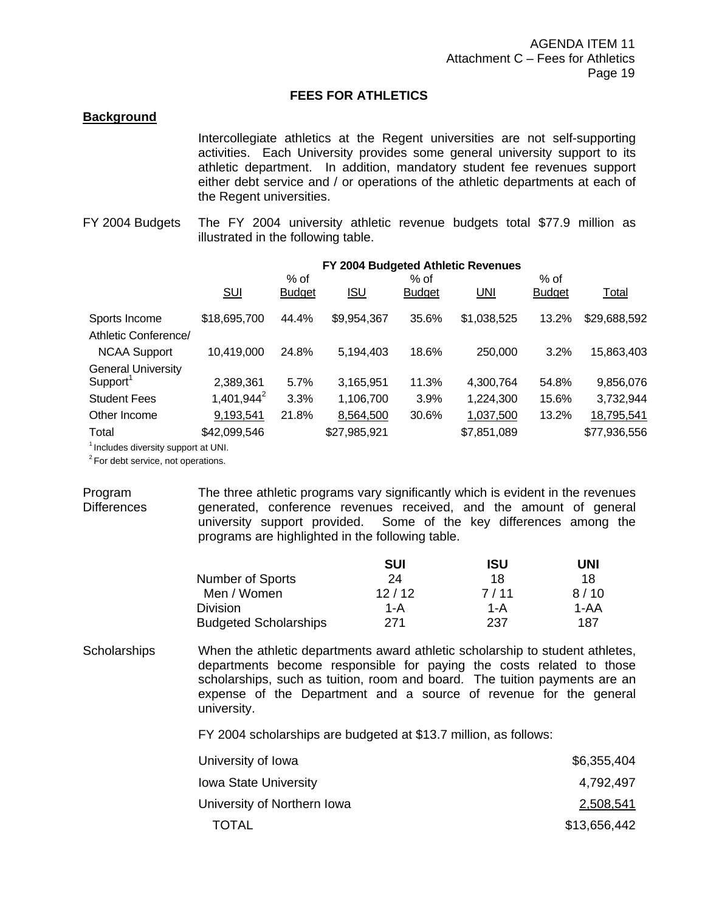# **FEES FOR ATHLETICS**

### **Background**

 Intercollegiate athletics at the Regent universities are not self-supporting activities. Each University provides some general university support to its athletic department. In addition, mandatory student fee revenues support either debt service and / or operations of the athletic departments at each of the Regent universities.

FY 2004 Budgets The FY 2004 university athletic revenue budgets total \$77.9 million as illustrated in the following table.

|                           | FY 2004 Budgeted Athletic Revenues |                         |              |                       |             |                       |              |
|---------------------------|------------------------------------|-------------------------|--------------|-----------------------|-------------|-----------------------|--------------|
|                           | <b>SUI</b>                         | $%$ of<br><b>Budget</b> | <b>ISU</b>   | % of<br><b>Budget</b> | <b>UNI</b>  | % of<br><b>Budget</b> | Total        |
| Sports Income             | \$18,695,700                       | 44.4%                   | \$9,954,367  | 35.6%                 | \$1,038,525 | 13.2%                 | \$29,688,592 |
| Athletic Conference/      |                                    |                         |              |                       |             |                       |              |
| <b>NCAA Support</b>       | 10,419,000                         | 24.8%                   | 5,194,403    | 18.6%                 | 250,000     | 3.2%                  | 15,863,403   |
| <b>General University</b> |                                    |                         |              |                       |             |                       |              |
| Support <sup>1</sup>      | 2,389,361                          | 5.7%                    | 3,165,951    | 11.3%                 | 4,300,764   | 54.8%                 | 9,856,076    |
| <b>Student Fees</b>       | $1,401,944^2$                      | 3.3%                    | 1,106,700    | 3.9%                  | 1,224,300   | 15.6%                 | 3,732,944    |
| Other Income              | 9,193,541                          | 21.8%                   | 8,564,500    | 30.6%                 | 1,037,500   | 13.2%                 | 18,795,541   |
| Total                     | \$42,099,546                       |                         | \$27,985,921 |                       | \$7,851,089 |                       | \$77,936,556 |
|                           |                                    |                         |              |                       |             |                       |              |

<sup>1</sup> Includes diversity support at UNI.

<sup>2</sup> For debt service, not operations.

Program **Differences** The three athletic programs vary significantly which is evident in the revenues generated, conference revenues received, and the amount of general university support provided. Some of the key differences among the programs are highlighted in the following table.

|                              | SUI   | ISU  | UNI  |
|------------------------------|-------|------|------|
| <b>Number of Sports</b>      | 24    | 18   | 18   |
| Men / Women                  | 12/12 | 7/11 | 8/10 |
| Division                     | 1-A   | 1-A  | 1-AA |
| <b>Budgeted Scholarships</b> | 271   | 237  | 187  |

Scholarships When the athletic departments award athletic scholarship to student athletes, departments become responsible for paying the costs related to those scholarships, such as tuition, room and board. The tuition payments are an expense of the Department and a source of revenue for the general university.

FY 2004 scholarships are budgeted at \$13.7 million, as follows:

| University of Iowa           | \$6,355,404  |
|------------------------------|--------------|
| <b>Iowa State University</b> | 4.792.497    |
| University of Northern Iowa  | 2,508,541    |
| TOTAL                        | \$13,656,442 |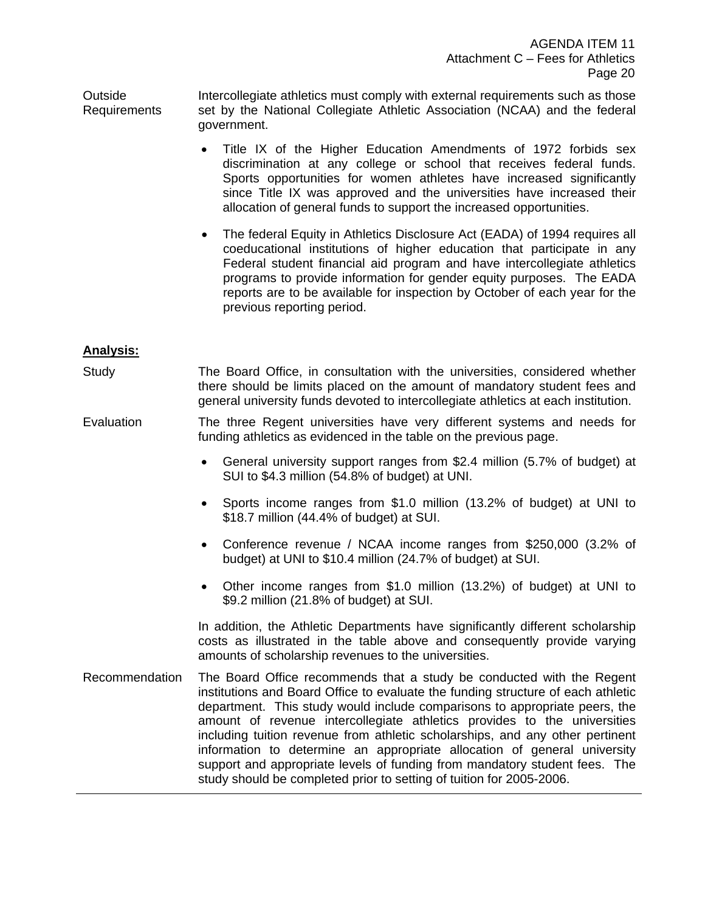Outside Requirements Intercollegiate athletics must comply with external requirements such as those set by the National Collegiate Athletic Association (NCAA) and the federal government.

- Title IX of the Higher Education Amendments of 1972 forbids sex discrimination at any college or school that receives federal funds. Sports opportunities for women athletes have increased significantly since Title IX was approved and the universities have increased their allocation of general funds to support the increased opportunities.
- The federal Equity in Athletics Disclosure Act (EADA) of 1994 requires all coeducational institutions of higher education that participate in any Federal student financial aid program and have intercollegiate athletics programs to provide information for gender equity purposes. The EADA reports are to be available for inspection by October of each year for the previous reporting period.

# **Analysis:**

- Study The Board Office, in consultation with the universities, considered whether there should be limits placed on the amount of mandatory student fees and general university funds devoted to intercollegiate athletics at each institution.
- Evaluation The three Regent universities have very different systems and needs for funding athletics as evidenced in the table on the previous page.
	- General university support ranges from \$2.4 million (5.7% of budget) at SUI to \$4.3 million (54.8% of budget) at UNI.
	- Sports income ranges from \$1.0 million (13.2% of budget) at UNI to \$18.7 million (44.4% of budget) at SUI.
	- Conference revenue / NCAA income ranges from \$250,000 (3.2% of budget) at UNI to \$10.4 million (24.7% of budget) at SUI.
	- Other income ranges from \$1.0 million (13.2%) of budget) at UNI to \$9.2 million (21.8% of budget) at SUI.

In addition, the Athletic Departments have significantly different scholarship costs as illustrated in the table above and consequently provide varying amounts of scholarship revenues to the universities.

Recommendation The Board Office recommends that a study be conducted with the Regent institutions and Board Office to evaluate the funding structure of each athletic department. This study would include comparisons to appropriate peers, the amount of revenue intercollegiate athletics provides to the universities including tuition revenue from athletic scholarships, and any other pertinent information to determine an appropriate allocation of general university support and appropriate levels of funding from mandatory student fees. The study should be completed prior to setting of tuition for 2005-2006.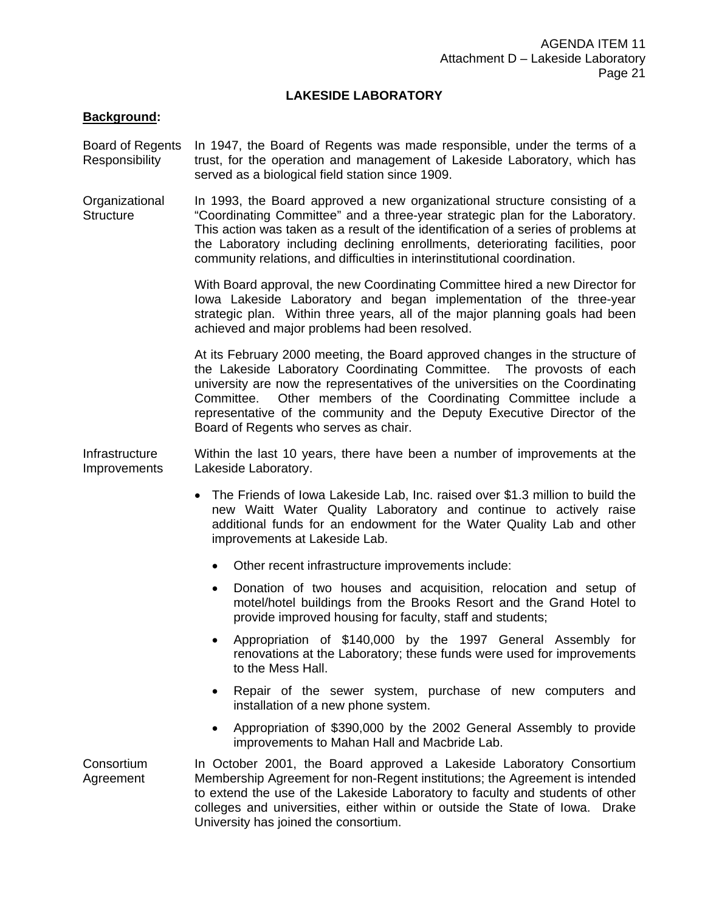## **LAKESIDE LABORATORY**

### **Background:**

- Board of Regents **Responsibility** In 1947, the Board of Regents was made responsible, under the terms of a trust, for the operation and management of Lakeside Laboratory, which has served as a biological field station since 1909.
- **Organizational Structure** In 1993, the Board approved a new organizational structure consisting of a "Coordinating Committee" and a three-year strategic plan for the Laboratory. This action was taken as a result of the identification of a series of problems at the Laboratory including declining enrollments, deteriorating facilities, poor community relations, and difficulties in interinstitutional coordination.

With Board approval, the new Coordinating Committee hired a new Director for Iowa Lakeside Laboratory and began implementation of the three-year strategic plan. Within three years, all of the major planning goals had been achieved and major problems had been resolved.

At its February 2000 meeting, the Board approved changes in the structure of the Lakeside Laboratory Coordinating Committee. The provosts of each university are now the representatives of the universities on the Coordinating Committee. Other members of the Coordinating Committee include a representative of the community and the Deputy Executive Director of the Board of Regents who serves as chair.

**Infrastructure Improvements** Within the last 10 years, there have been a number of improvements at the Lakeside Laboratory.

- The Friends of Iowa Lakeside Lab, Inc. raised over \$1.3 million to build the new Waitt Water Quality Laboratory and continue to actively raise additional funds for an endowment for the Water Quality Lab and other improvements at Lakeside Lab.
	- Other recent infrastructure improvements include:
	- Donation of two houses and acquisition, relocation and setup of motel/hotel buildings from the Brooks Resort and the Grand Hotel to provide improved housing for faculty, staff and students;
	- Appropriation of \$140,000 by the 1997 General Assembly for renovations at the Laboratory; these funds were used for improvements to the Mess Hall.
	- Repair of the sewer system, purchase of new computers and installation of a new phone system.
	- Appropriation of \$390,000 by the 2002 General Assembly to provide improvements to Mahan Hall and Macbride Lab.
- **Consortium** Agreement In October 2001, the Board approved a Lakeside Laboratory Consortium Membership Agreement for non-Regent institutions; the Agreement is intended to extend the use of the Lakeside Laboratory to faculty and students of other colleges and universities, either within or outside the State of Iowa. Drake University has joined the consortium.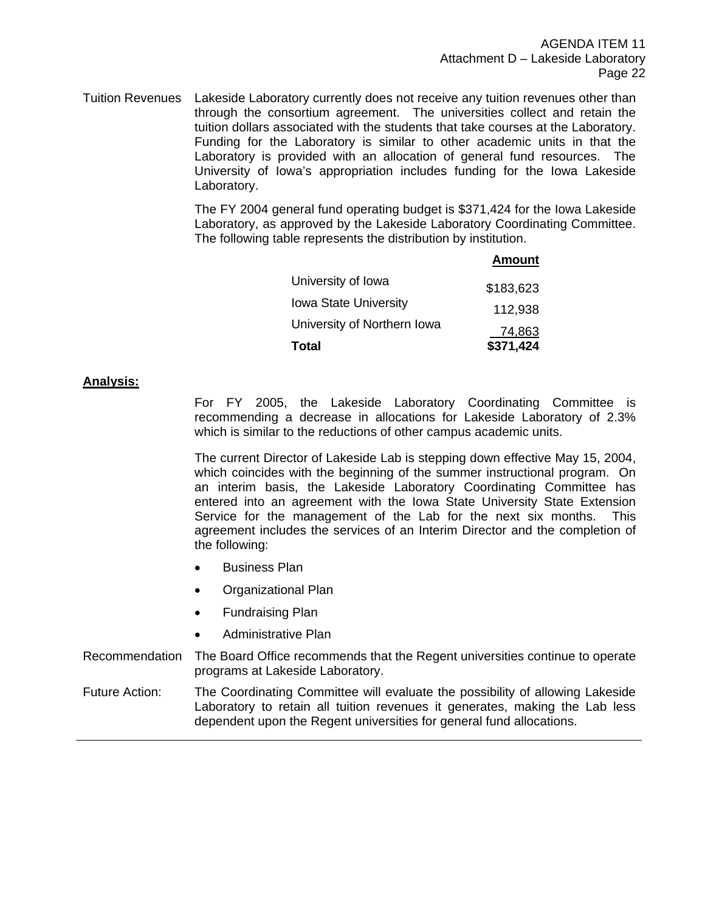Tuition Revenues Lakeside Laboratory currently does not receive any tuition revenues other than through the consortium agreement. The universities collect and retain the tuition dollars associated with the students that take courses at the Laboratory. Funding for the Laboratory is similar to other academic units in that the Laboratory is provided with an allocation of general fund resources. The University of Iowa's appropriation includes funding for the Iowa Lakeside Laboratory.

> The FY 2004 general fund operating budget is \$371,424 for the Iowa Lakeside Laboratory, as approved by the Lakeside Laboratory Coordinating Committee. The following table represents the distribution by institution.

|                              | <b>Amount</b> |
|------------------------------|---------------|
| University of Iowa           | \$183,623     |
| <b>Iowa State University</b> | 112,938       |
| University of Northern Iowa  | 74,863        |
| <b>Total</b>                 | \$371,424     |

### **Analysis:**

 For FY 2005, the Lakeside Laboratory Coordinating Committee is recommending a decrease in allocations for Lakeside Laboratory of 2.3% which is similar to the reductions of other campus academic units.

 The current Director of Lakeside Lab is stepping down effective May 15, 2004, which coincides with the beginning of the summer instructional program. On an interim basis, the Lakeside Laboratory Coordinating Committee has entered into an agreement with the Iowa State University State Extension Service for the management of the Lab for the next six months. This agreement includes the services of an Interim Director and the completion of the following:

- Business Plan
- Organizational Plan
- Fundraising Plan
- Administrative Plan
- Recommendation The Board Office recommends that the Regent universities continue to operate programs at Lakeside Laboratory.

Future Action: The Coordinating Committee will evaluate the possibility of allowing Lakeside Laboratory to retain all tuition revenues it generates, making the Lab less dependent upon the Regent universities for general fund allocations.